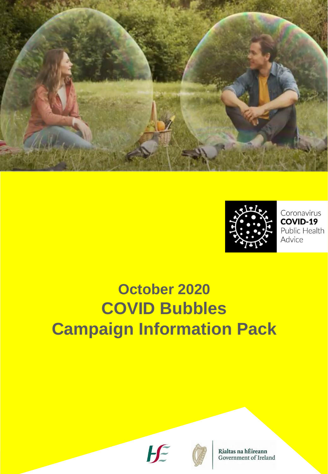



Coronavirus COVID-19 Public Health Advice

# **October 2020 COVID Bubbles Campaign Information Pack**





Rialtas na hÉireann Government of Ireland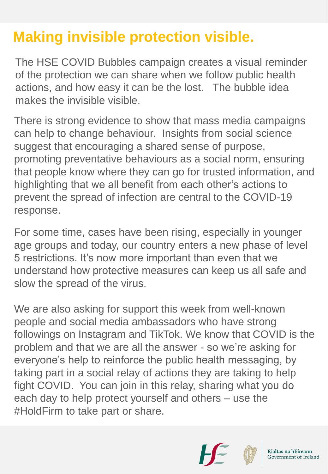## **Making invisible protection visible.**

The HSE COVID Bubbles campaign creates a visual reminder of the protection we can share when we follow public health actions, and how easy it can be the lost. The bubble idea makes the invisible visible.

There is strong evidence to show that mass media campaigns can help to change behaviour. Insights from social science suggest that encouraging a shared sense of purpose, promoting preventative behaviours as a social norm, ensuring that people know where they can go for trusted information, and highlighting that we all benefit from each other's actions to prevent the spread of infection are central to the COVID-19 response.

For some time, cases have been rising, especially in younger age groups and today, our country enters a new phase of level 5 restrictions. It's now more important than even that we understand how protective measures can keep us all safe and slow the spread of the virus.

We are also asking for support this week from well-known people and social media ambassadors who have strong followings on Instagram and TikTok. We know that COVID is the problem and that we are all the answer - so we're asking for everyone's help to reinforce the public health messaging, by taking part in a social relay of actions they are taking to help fight COVID. You can join in this relay, sharing what you do each day to help protect yourself and others – use the #HoldFirm to take part or share.



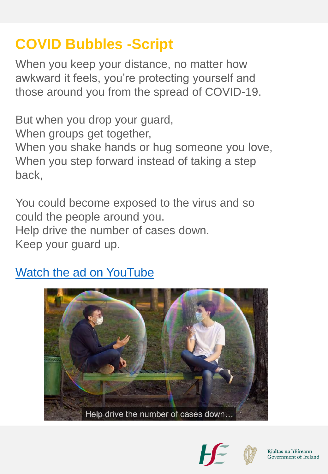## **COVID Bubbles -Script**

When you keep your distance, no matter how awkward it feels, you're protecting yourself and those around you from the spread of COVID-19.

But when you drop your guard, When groups get together, When you shake hands or hug someone you love, When you step forward instead of taking a step back,

You could become exposed to the virus and so could the people around you. Help drive the number of cases down. Keep your guard up.

#### [Watch the ad on YouTube](https://youtu.be/y78DhKRxjQs)





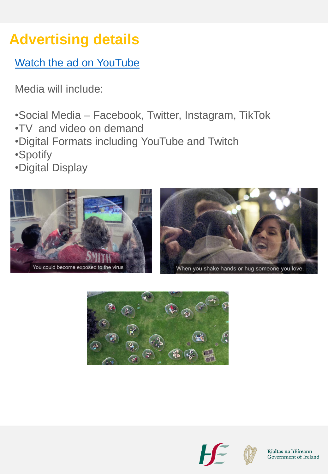# **Advertising details**

**[Watch](https://youtu.be/y78DhKRxjQs) [the](https://youtu.be/y78DhKRxjQs) [ad](https://youtu.be/y78DhKRxjQs) [on](https://youtu.be/y78DhKRxjQs) [YouTube](https://youtu.be/y78DhKRxjQs)** 

Media will include:

- •Social Media Facebook, Twitter, Instagram, TikTok
- •TV and video on demand
- •Digital Formats including YouTube and Twitch
- •Spotify
- •Digital Display





When you shake hands or hug someone you love.





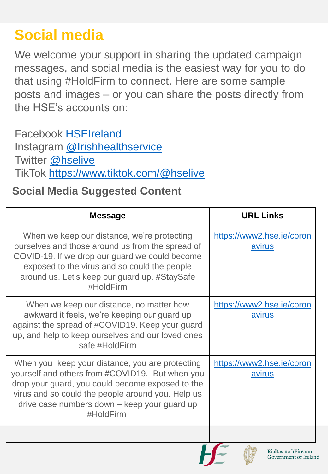## **Social media**

We welcome your support in sharing the updated campaign messages, and social media is the easiest way for you to do that using #HoldFirm to connect. Here are some sample posts and images – or you can share the posts directly from the HSE's accounts on:

Facebook [HSEIreland](http://www.facebook.com/hseireland) Instagram [@Irishhealthservice](http://www.instagram.com/irishhealthservice) Twitter [@hselive](http://www.twitter.com/hselive) TikTok [https://www.tiktok.com/@hselive](https://scanner.topsec.com/?d=1824&u=https://www.tiktok.com/@hselive&t=15e736dd2e890672e022921097776fc42425e53d)

#### **Social Media Suggested Content**

| <b>Message</b>                                                                                                                                                                                                                                                           | <b>URL Links</b>                           |
|--------------------------------------------------------------------------------------------------------------------------------------------------------------------------------------------------------------------------------------------------------------------------|--------------------------------------------|
| When we keep our distance, we're protecting<br>ourselves and those around us from the spread of<br>COVID-19. If we drop our guard we could become<br>exposed to the virus and so could the people<br>around us. Let's keep our guard up. #StaySafe<br>#HoldFirm          | https://www2.hse.ie/coron<br><u>avirus</u> |
| When we keep our distance, no matter how<br>awkward it feels, we're keeping our guard up<br>against the spread of #COVID19. Keep your guard<br>up, and help to keep ourselves and our loved ones<br>safe #HoldFirm                                                       | https://www2.hse.ie/coron<br>avirus        |
| When you keep your distance, you are protecting<br>yourself and others from #COVID19. But when you<br>drop your guard, you could become exposed to the<br>virus and so could the people around you. Help us<br>drive case numbers down - keep your guard up<br>#HoldFirm | https://www2.hse.ie/coron<br>avirus        |
|                                                                                                                                                                                                                                                                          | $m!$ -lass                                 |

Rialtas na hEireann Government of Ireland